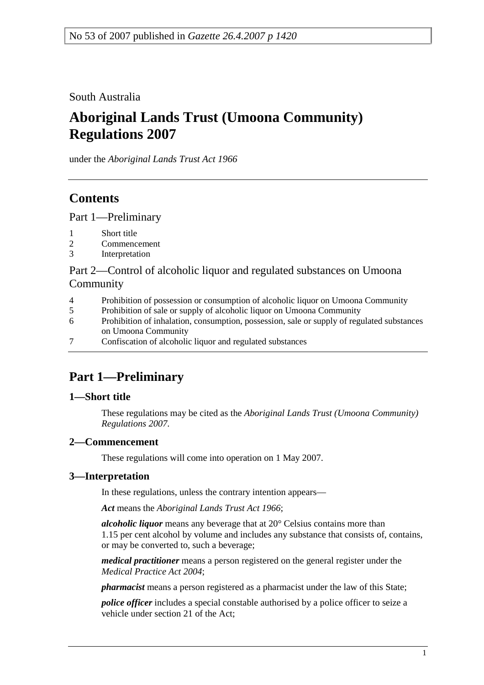South Australia

# **Aboriginal Lands Trust (Umoona Community) Regulations 2007**

under the *Aboriginal Lands Trust Act 1966*

## **Contents**

Part 1—Preliminary

- 1 Short title
- 2 Commencement
- 3 Interpretation

Part 2—Control of alcoholic liquor and regulated substances on Umoona Community

- 4 Prohibition of possession or consumption of alcoholic liquor on Umoona Community
- 5 Prohibition of sale or supply of alcoholic liquor on Umoona Community
- 6 Prohibition of inhalation, consumption, possession, sale or supply of regulated substances on Umoona Community
- 7 Confiscation of alcoholic liquor and regulated substances

# **Part 1—Preliminary**

### **1—Short title**

These regulations may be cited as the *Aboriginal Lands Trust (Umoona Community) Regulations 2007*.

### **2—Commencement**

These regulations will come into operation on 1 May 2007.

### **3—Interpretation**

In these regulations, unless the contrary intention appears—

*Act* means the *Aboriginal Lands Trust Act 1966*;

*alcoholic liquor* means any beverage that at 20° Celsius contains more than 1.15 per cent alcohol by volume and includes any substance that consists of, contains, or may be converted to, such a beverage;

*medical practitioner* means a person registered on the general register under the *Medical Practice Act 2004*;

*pharmacist* means a person registered as a pharmacist under the law of this State;

*police officer* includes a special constable authorised by a police officer to seize a vehicle under section 21 of the Act;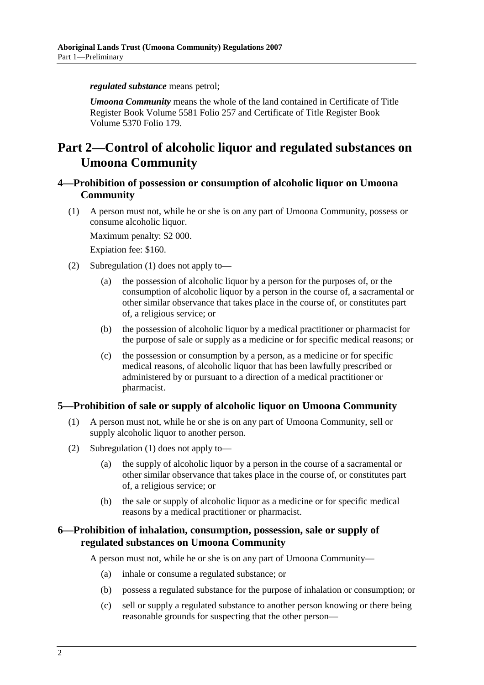*regulated substance* means petrol;

*Umoona Community* means the whole of the land contained in Certificate of Title Register Book Volume 5581 Folio 257 and Certificate of Title Register Book Volume 5370 Folio 179.

### **Part 2—Control of alcoholic liquor and regulated substances on Umoona Community**

### **4—Prohibition of possession or consumption of alcoholic liquor on Umoona Community**

 (1) A person must not, while he or she is on any part of Umoona Community, possess or consume alcoholic liquor.

Maximum penalty: \$2 000.

Expiation fee: \$160.

- (2) Subregulation (1) does not apply to—
	- (a) the possession of alcoholic liquor by a person for the purposes of, or the consumption of alcoholic liquor by a person in the course of, a sacramental or other similar observance that takes place in the course of, or constitutes part of, a religious service; or
	- (b) the possession of alcoholic liquor by a medical practitioner or pharmacist for the purpose of sale or supply as a medicine or for specific medical reasons; or
	- (c) the possession or consumption by a person, as a medicine or for specific medical reasons, of alcoholic liquor that has been lawfully prescribed or administered by or pursuant to a direction of a medical practitioner or pharmacist.

### **5—Prohibition of sale or supply of alcoholic liquor on Umoona Community**

- (1) A person must not, while he or she is on any part of Umoona Community, sell or supply alcoholic liquor to another person.
- (2) Subregulation (1) does not apply to—
	- (a) the supply of alcoholic liquor by a person in the course of a sacramental or other similar observance that takes place in the course of, or constitutes part of, a religious service; or
	- (b) the sale or supply of alcoholic liquor as a medicine or for specific medical reasons by a medical practitioner or pharmacist.

### **6—Prohibition of inhalation, consumption, possession, sale or supply of regulated substances on Umoona Community**

A person must not, while he or she is on any part of Umoona Community—

- (a) inhale or consume a regulated substance; or
- (b) possess a regulated substance for the purpose of inhalation or consumption; or
- (c) sell or supply a regulated substance to another person knowing or there being reasonable grounds for suspecting that the other person—